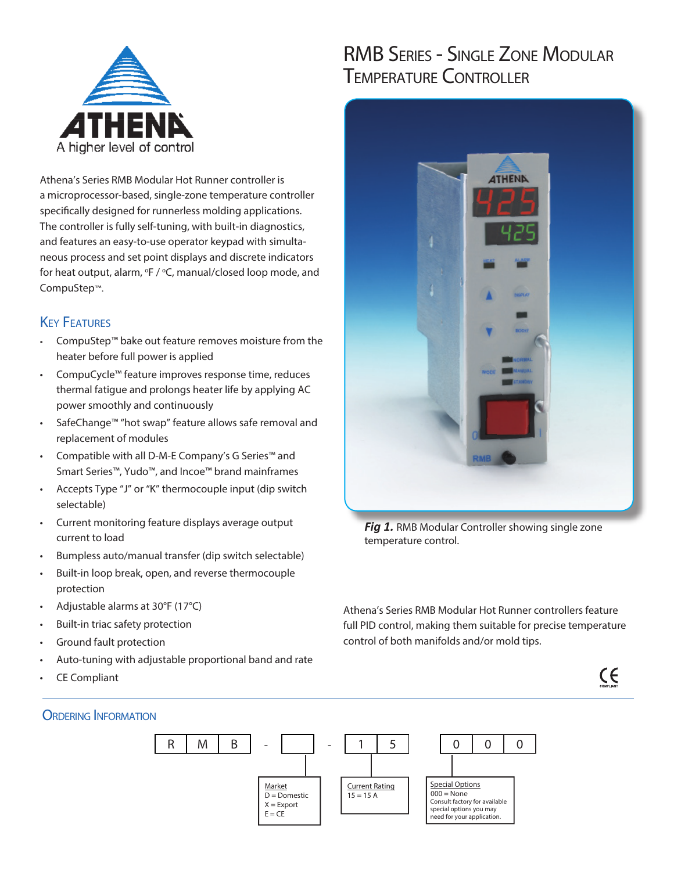

Athena's Series RMB Modular Hot Runner controller is a microprocessor-based, single-zone temperature controller specifically designed for runnerless molding applications. The controller is fully self-tuning, with built-in diagnostics, and features an easy-to-use operator keypad with simultaneous process and set point displays and discrete indicators for heat output, alarm, <sup>o</sup>F / <sup>o</sup>C, manual/closed loop mode, and CompuStep™.

### **KEY FEATURES**

- CompuStep™ bake out feature removes moisture from the heater before full power is applied
- CompuCycle™ feature improves response time, reduces thermal fatigue and prolongs heater life by applying AC power smoothly and continuously
- SafeChange™ "hot swap" feature allows safe removal and replacement of modules
- Compatible with all D-M-E Company's G Series™ and Smart Series™, Yudo™, and Incoe™ brand mainframes
- Accepts Type "J" or "K" thermocouple input (dip switch selectable)
- Current monitoring feature displays average output current to load
- Bumpless auto/manual transfer (dip switch selectable)
- Built-in loop break, open, and reverse thermocouple protection
- Adjustable alarms at 30°F (17°C)
- Built-in triac safety protection
- Ground fault protection
- Auto-tuning with adjustable proportional band and rate
- CE Compliant

## RMB SERIES - SINGLE ZONE MODULAR TEMPERATURE CONTROLLER



**Fig 1.** RMB Modular Controller showing single zone temperature control.

Athena's Series RMB Modular Hot Runner controllers feature full PID control, making them suitable for precise temperature control of both manifolds and/or mold tips.

 $\epsilon$